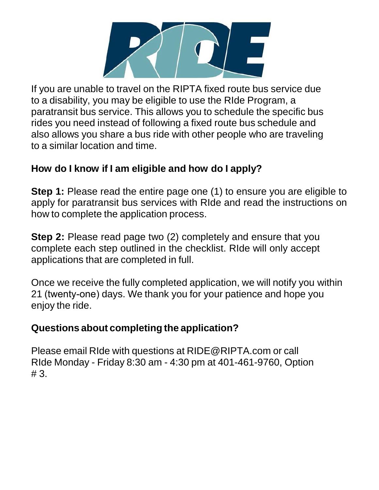

If you are unable to travel on the RIPTA fixed route bus service due to a disability, you may be eligible to use the RIde Program, a paratransit bus service. This allows you to schedule the specific bus rides you need instead of following a fixed route bus schedule and also allows you share a bus ride with other people who are traveling to a similar location and time.

### **How do I know if I am eligible and how do I apply?**

**Step 1:** Please read the entire page one (1) to ensure you are eligible to apply for paratransit bus services with RIde and read the instructions on how to complete the application process.

**Step 2:** Please read page two (2) completely and ensure that you complete each step outlined in the checklist. RIde will only accept applications that are completed in full.

Once we receive the fully completed application, we will notify you within 21 (twenty-one) days. We thank you for your patience and hope you enjoy the ride.

### **Questions about completing the application?**

Please email RIde with questions at [RIDE@RIPTA.com](mailto:RIDE@RIPTA.com) or call RIde Monday - Friday 8:30 am - 4:30 pm at 401-461-9760, Option # 3.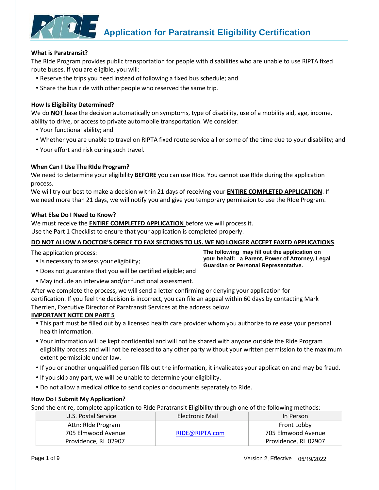

#### **What is Paratransit?**

The RIde Program provides public transportation for people with disabilities who are unable to use RIPTA fixed route buses. If you are eligible, you will:

- Reserve the trips you need instead of following a fixed bus schedule; and
- Share the bus ride with other people who reserved the same trip.

#### **How Is Eligibility Determined?**

We do **NOT** base the decision automatically on symptoms, type of disability, use of a mobility aid, age, income, ability to drive, or access to private automobile transportation. We consider:

- Your functional ability; and
- Whether you are unable to travel on RIPTA fixed route service all or some of the time due to your disability; and
- Your effort and risk during such travel.

#### **When Can I Use The RIde Program?**

We need to determine your eligibility **BEFORE** you can use RIde. You cannot use RIde during the application process.

We will try our best to make a decision within 21 days of receiving your **ENTIRE COMPLETED APPLICATION**. If we need more than 21 days, we will notify you and give you temporary permission to use the RIde Program.

#### **What Else Do I Need to Know?**

We must receive the **ENTIRE COMPLETED APPLICATION** before we will process it.

Use the Part 1 Checklist to ensure that your application is completed properly.

#### DO NOT ALLOW A DOCTOR'S OFFICE TO FAX SECTIONS TO US. WE NO LONGER ACCEPT FAXED APPLICATIONS.

The application process:

•Is necessary to assess your eligibility;

**The following may fill out the application on your behalf: a Parent, Power of Attorney, Legal Guardian or Personal Representative.**

- Does not guarantee that you will be certified eligible; and
- May include an interview and/or functional assessment.

After we complete the process, we will send a letter confirming or denying your application for certification. If you feel the decision is incorrect, you can file an appeal within 60 days by contacting Mark Therrien, Executive Director of Paratransit Services at the address below.

#### **IMPORTANT NOTE ON PART 5**

- This part must be filled out by a licensed health care provider whom you authorize to release your personal health information.
- Your information will be kept confidential and will not be shared with anyone outside the RIde Program eligibility process and will not be released to any other party without your written permission to the maximum extent permissible under law.
- •If you or another unqualified person fills out the information, it invalidates your application and may be fraud.
- •If you skip any part, we will be unable to determine your eligibility.
- Do not allow a medical office to send copies or documents separately to RIde.

#### **How Do I Submit My Application?**

Send the entire, complete application to RIde Paratransit Eligibility through one of the following methods:

| U.S. Postal Service  | Electronic Mail | In Person            |
|----------------------|-----------------|----------------------|
| Attn: Ride Program   |                 | Front Lobby          |
| 705 Elmwood Avenue   | RIDE@RIPTA.com  | 705 Elmwood Avenue   |
| Providence, RI 02907 |                 | Providence, RI 02907 |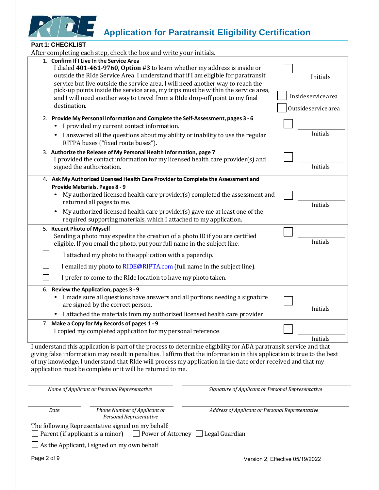

#### **Part 1: CHECKLIST**

| After completing each step, check the box and write your initials.                                                                                                                                                                                                                                                                                                                                                        |                                             |
|---------------------------------------------------------------------------------------------------------------------------------------------------------------------------------------------------------------------------------------------------------------------------------------------------------------------------------------------------------------------------------------------------------------------------|---------------------------------------------|
| 1. Confirm If I Live In the Service Area<br>I dialed 401-461-9760, Option #3 to learn whether my address is inside or<br>outside the RIde Service Area. I understand that if I am eligible for paratransit<br>service but live outside the service area, I will need another way to reach the<br>pick-up points inside the service area, my trips must be within the service area,                                        | <b>Initials</b>                             |
| and I will need another way to travel from a RIde drop-off point to my final<br>destination.                                                                                                                                                                                                                                                                                                                              | Inside service area<br>Outside service area |
| 2. Provide My Personal Information and Complete the Self-Assessment, pages 3 - 6<br>I provided my current contact information.                                                                                                                                                                                                                                                                                            |                                             |
| I answered all the questions about my ability or inability to use the regular<br>RITPA buses ("fixed route buses").                                                                                                                                                                                                                                                                                                       | Initials                                    |
| 3. Authorize the Release of My Personal Health Information, page 7<br>I provided the contact information for my licensed health care provider(s) and<br>signed the authorization.                                                                                                                                                                                                                                         | Initials                                    |
| 4. Ask My Authorized Licensed Health Care Provider to Complete the Assessment and                                                                                                                                                                                                                                                                                                                                         |                                             |
| <b>Provide Materials. Pages 8 - 9</b><br>My authorized licensed health care provider(s) completed the assessment and<br>returned all pages to me.                                                                                                                                                                                                                                                                         | Initials                                    |
| My authorized licensed health care provider(s) gave me at least one of the<br>required supporting materials, which I attached to my application.                                                                                                                                                                                                                                                                          |                                             |
| 5. Recent Photo of Myself                                                                                                                                                                                                                                                                                                                                                                                                 |                                             |
| Sending a photo may expedite the creation of a photo ID if you are certified<br>eligible. If you email the photo, put your full name in the subject line.                                                                                                                                                                                                                                                                 | Initials                                    |
| I attached my photo to the application with a paperclip.                                                                                                                                                                                                                                                                                                                                                                  |                                             |
| I emailed my photo to <b>RIDE@RIPTA.com</b> (full name in the subject line).                                                                                                                                                                                                                                                                                                                                              |                                             |
| I prefer to come to the RIde location to have my photo taken.                                                                                                                                                                                                                                                                                                                                                             |                                             |
| 6. Review the Application, pages 3 - 9<br>I made sure all questions have answers and all portions needing a signature<br>are signed by the correct person.<br>I attached the materials from my authorized licensed health care provider.                                                                                                                                                                                  | Initials                                    |
| 7. Make a Copy for My Records of pages 1 - 9                                                                                                                                                                                                                                                                                                                                                                              |                                             |
| I copied my completed application for my personal reference.                                                                                                                                                                                                                                                                                                                                                              |                                             |
|                                                                                                                                                                                                                                                                                                                                                                                                                           | Initials                                    |
| I understand this application is part of the process to determine eligibility for ADA paratransit service and that<br>giving false information may result in penalties. I affirm that the information in this application is true to the best<br>of my knowledge. I understand that RIde will process my application in the date order received and that my<br>application must be complete or it will be returned to me. |                                             |
| Name of Applicant or Personal Representative<br>Signature of Applicant or Personal Representative                                                                                                                                                                                                                                                                                                                         |                                             |
| Phone Number of Applicant or<br>Date<br>Address of Applicant or Personal Representative<br>Personal Representative                                                                                                                                                                                                                                                                                                        |                                             |
| The following Representative signed on my behalf:<br>Parent (if applicant is a minor)<br>$\Box$ Power of Attorney $\Box$ Legal Guardian                                                                                                                                                                                                                                                                                   |                                             |
| As the Applicant, I signed on my own behalf                                                                                                                                                                                                                                                                                                                                                                               |                                             |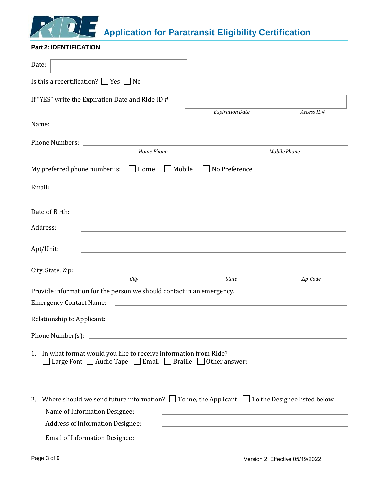

#### <span id="page-3-0"></span>**Part 2: IDENTIFICATION**

| Date:                                                                                                                                                  |                                                                                                                  |              |
|--------------------------------------------------------------------------------------------------------------------------------------------------------|------------------------------------------------------------------------------------------------------------------|--------------|
| Is this a recertification? $\Box$ Yes $\Box$ No                                                                                                        |                                                                                                                  |              |
| If "YES" write the Expiration Date and RIde ID #                                                                                                       |                                                                                                                  |              |
|                                                                                                                                                        | <b>Expiration Date</b>                                                                                           | Access ID#   |
| <u> 1980 - Johann Barbara, martin amerikan basal dan berasal dan berasal dalam basal dalam basal dan berasal dan</u><br>Name:                          |                                                                                                                  |              |
| Home Phone                                                                                                                                             |                                                                                                                  | Mobile Phone |
|                                                                                                                                                        |                                                                                                                  |              |
| My preferred phone number is: $\Box$ Home $\Box$ Mobile                                                                                                | No Preference                                                                                                    |              |
|                                                                                                                                                        |                                                                                                                  |              |
|                                                                                                                                                        |                                                                                                                  |              |
| Date of Birth:                                                                                                                                         |                                                                                                                  |              |
| Address:                                                                                                                                               |                                                                                                                  |              |
| Apt/Unit:                                                                                                                                              | and the control of the control of the control of the control of the control of the control of the control of the |              |
|                                                                                                                                                        |                                                                                                                  |              |
| City, State, Zip:<br>City                                                                                                                              | <b>State</b>                                                                                                     | Zip Code     |
| Provide information for the person we should contact in an emergency.                                                                                  |                                                                                                                  |              |
| <b>Emergency Contact Name:</b>                                                                                                                         |                                                                                                                  |              |
| Relationship to Applicant:                                                                                                                             | the control of the control of the control of the control of the control of the control of                        |              |
|                                                                                                                                                        |                                                                                                                  |              |
| Phone Number(s):                                                                                                                                       |                                                                                                                  |              |
| In what format would you like to receive information from RIde?<br>1.<br>Large Font $\Box$ Audio Tape $\Box$ Email $\Box$ Braille $\Box$ Other answer: |                                                                                                                  |              |
|                                                                                                                                                        |                                                                                                                  |              |
|                                                                                                                                                        |                                                                                                                  |              |
| Where should we send future information? $\Box$ To me, the Applicant $\Box$ To the Designee listed below<br>2.                                         |                                                                                                                  |              |
| Name of Information Designee:<br><b>Address of Information Designee:</b>                                                                               |                                                                                                                  |              |
|                                                                                                                                                        |                                                                                                                  |              |
| <b>Email of Information Designee:</b>                                                                                                                  |                                                                                                                  |              |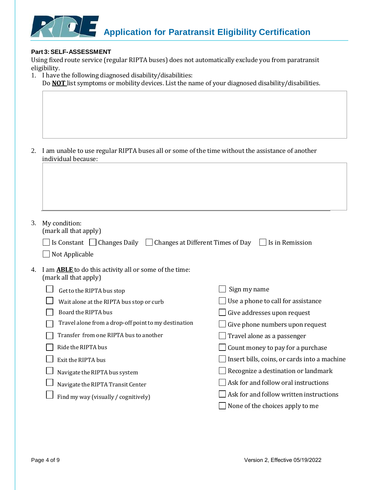

#### **Part 3:SELF-ASSESSMENT**

Using fixed route service (regular RIPTA buses) does not automatically exclude you from paratransit eligibility.

|    | 1. I have the following diagnosed disability/disabilities:<br>Do <b>NOT</b> list symptoms or mobility devices. List the name of your diagnosed disability/disabilities. |                                              |
|----|-------------------------------------------------------------------------------------------------------------------------------------------------------------------------|----------------------------------------------|
|    |                                                                                                                                                                         |                                              |
|    |                                                                                                                                                                         |                                              |
| 2. | I am unable to use regular RIPTA buses all or some of the time without the assistance of another<br>individual because:                                                 |                                              |
|    |                                                                                                                                                                         |                                              |
|    |                                                                                                                                                                         |                                              |
|    |                                                                                                                                                                         |                                              |
|    |                                                                                                                                                                         |                                              |
| 3. | My condition:<br>(mark all that apply)                                                                                                                                  |                                              |
|    | Is Constant $\Box$ Changes Daily $\Box$ Changes at Different Times of Day                                                                                               | $\vert$ Is in Remission                      |
|    | Not Applicable                                                                                                                                                          |                                              |
| 4. | I am <b>ABLE</b> to do this activity all or some of the time:<br>(mark all that apply)                                                                                  |                                              |
|    | Get to the RIPTA bus stop                                                                                                                                               | Sign my name                                 |
|    | Wait alone at the RIPTA bus stop or curb                                                                                                                                | Use a phone to call for assistance           |
|    | Board the RIPTA bus                                                                                                                                                     | Give addresses upon request                  |
|    | Travel alone from a drop-off point to my destination                                                                                                                    | Give phone numbers upon request              |
|    | Transfer from one RIPTA bus to another                                                                                                                                  | Travel alone as a passenger                  |
|    | Ride the RIPTA bus                                                                                                                                                      | Count money to pay for a purchase            |
|    | Exit the RIPTA bus                                                                                                                                                      | Insert bills, coins, or cards into a machine |
|    | Navigate the RIPTA bus system                                                                                                                                           | Recognize a destination or landmark          |
|    | Navigate the RIPTA Transit Center                                                                                                                                       | Ask for and follow oral instructions         |
|    | Find my way (visually / cognitively)                                                                                                                                    | Ask for and follow written instructions      |
|    |                                                                                                                                                                         | None of the choices apply to me              |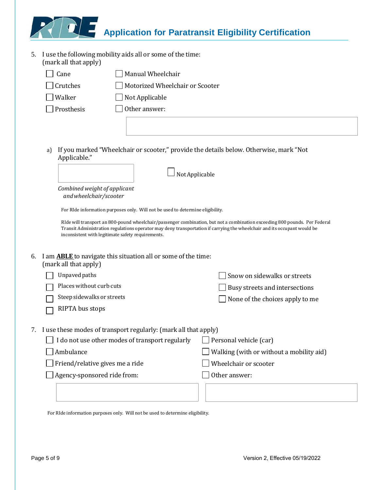5. I use the following mobility aids all or some of the time: (mark all that apply)

| Cane            | Manual Wheelchair               |
|-----------------|---------------------------------|
| $\Box$ Crutches | Motorized Wheelchair or Scooter |
| Walker          | $\Box$ Not Applicable           |
| Prosthesis      | Other answer:                   |
|                 |                                 |

a) If you marked "Wheelchair or scooter," provide the details below. Otherwise, mark "Not Applicable."

|    |                                                                                                                                                                               | Not Applicable                                                                                                             |
|----|-------------------------------------------------------------------------------------------------------------------------------------------------------------------------------|----------------------------------------------------------------------------------------------------------------------------|
|    | Combined weight of applicant<br>and wheelchair/scooter                                                                                                                        |                                                                                                                            |
|    | For RIde information purposes only. Will not be used to determine eligibility.                                                                                                |                                                                                                                            |
|    | Transit Administration regulations operator may deny transportation if carrying the wheelchair and its occupant would be<br>inconsistent with legitimate safety requirements. | RIde will transport an 800-pound wheelchair/passenger combination, but not a combination exceeding 800 pounds. Per Federal |
| 6. | I am <b>ABLE</b> to navigate this situation all or some of the time:<br>(mark all that apply)                                                                                 |                                                                                                                            |
|    | Unpaved paths                                                                                                                                                                 | Snow on sidewalks or streets                                                                                               |
|    | Places without curb cuts                                                                                                                                                      | Busy streets and intersections                                                                                             |
|    | Steep sidewalks or streets                                                                                                                                                    | None of the choices apply to me                                                                                            |
|    | RIPTA bus stops                                                                                                                                                               |                                                                                                                            |
| 7. | I use these modes of transport regularly: (mark all that apply)                                                                                                               |                                                                                                                            |
|    | I do not use other modes of transport regularly                                                                                                                               | Personal vehicle (car)                                                                                                     |
|    | Ambulance                                                                                                                                                                     | Walking (with or without a mobility aid)                                                                                   |
|    | Friend/relative gives me a ride                                                                                                                                               | Wheelchair or scooter                                                                                                      |
|    | Agency-sponsored ride from:                                                                                                                                                   | Other answer:                                                                                                              |

For RIde information purposes only. Will not be used to determine eligibility.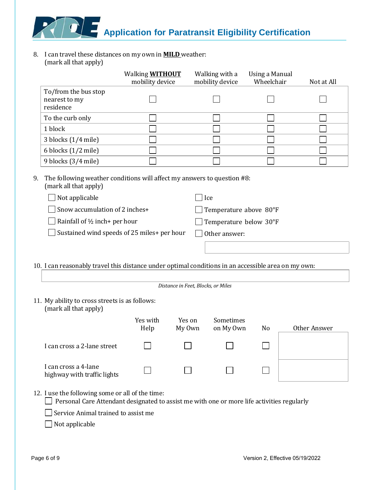8. I can travel these distances on my own in **MILD** weather: (mark all that apply)

| (mark an that apply)                                                                                                                           | Walking <b>WITHOUT</b><br>mobility device |                                    | Walking with a<br>mobility device | Using a Manual<br>Wheelchair | Not at All   |
|------------------------------------------------------------------------------------------------------------------------------------------------|-------------------------------------------|------------------------------------|-----------------------------------|------------------------------|--------------|
| To/from the bus stop                                                                                                                           |                                           |                                    |                                   |                              |              |
| nearest to my<br>residence                                                                                                                     |                                           |                                    |                                   |                              |              |
| To the curb only                                                                                                                               |                                           |                                    |                                   |                              |              |
| 1 block                                                                                                                                        |                                           |                                    |                                   |                              |              |
| 3 blocks (1/4 mile)                                                                                                                            |                                           |                                    |                                   |                              |              |
| 6 blocks (1/2 mile)                                                                                                                            |                                           |                                    |                                   |                              |              |
| 9 blocks (3/4 mile)                                                                                                                            |                                           |                                    |                                   |                              |              |
| 9.<br>The following weather conditions will affect my answers to question #8:<br>(mark all that apply)                                         |                                           |                                    |                                   |                              |              |
| Not applicable                                                                                                                                 |                                           |                                    | ] Ice                             |                              |              |
| Snow accumulation of 2 inches+                                                                                                                 |                                           |                                    | Temperature above 80°F            |                              |              |
| Rainfall of 1/2 inch+ per hour                                                                                                                 |                                           |                                    | Temperature below 30°F            |                              |              |
| Sustained wind speeds of 25 miles+ per hour                                                                                                    |                                           |                                    | Other answer:                     |                              |              |
|                                                                                                                                                |                                           |                                    |                                   |                              |              |
|                                                                                                                                                |                                           |                                    |                                   |                              |              |
| 10. I can reasonably travel this distance under optimal conditions in an accessible area on my own:                                            |                                           |                                    |                                   |                              |              |
|                                                                                                                                                |                                           |                                    |                                   |                              |              |
|                                                                                                                                                |                                           | Distance in Feet, Blocks, or Miles |                                   |                              |              |
| 11. My ability to cross streets is as follows:<br>(mark all that apply)                                                                        |                                           |                                    |                                   |                              |              |
|                                                                                                                                                | Yes with<br>Help                          | Yes on<br>My Own                   | Sometimes<br>on My Own            | N <sub>0</sub>               | Other Answer |
| I can cross a 2-lane street                                                                                                                    |                                           |                                    |                                   |                              |              |
| I can cross a 4-lane<br>highway with traffic lights                                                                                            |                                           |                                    |                                   |                              |              |
|                                                                                                                                                |                                           |                                    |                                   |                              |              |
| 12. I use the following some or all of the time:<br>Personal Care Attendant designated to assist me with one or more life activities regularly |                                           |                                    |                                   |                              |              |

<span id="page-6-0"></span> $\hfill\Box$  Not applicable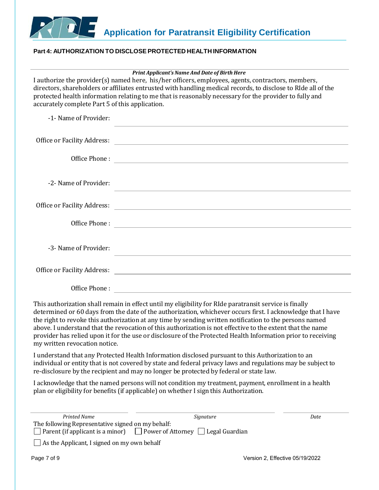

#### <span id="page-7-0"></span>**Part 4: AUTHORIZATION TO DISCLOSE PROTECTED HEALTH INFORMATION**

| <b>Print Applicant's Name And Date of Birth Here</b> |  |
|------------------------------------------------------|--|
|                                                      |  |

I authorize the provider(s) named here, his/her officers, employees, agents, contractors, members, directors, shareholders or affiliates entrusted with handling medical records, to disclose to RIde all of the protected health information relating to me that is reasonably necessary for the provider to fully and accurately complete Part 5 of this application.

| -1- Name of Provider: | the control of the control of the control of the control of the control of the control of the control of the control of the control of the control of the control of the control of the control of the control of the control |
|-----------------------|-------------------------------------------------------------------------------------------------------------------------------------------------------------------------------------------------------------------------------|
|                       |                                                                                                                                                                                                                               |
| Office Phone:         | <u> Alexandria de la contrada de la contrada de la contrada de la contrada de la contrada de la contrada de la c</u>                                                                                                          |
| -2- Name of Provider: | <u> 1989 - Andrea Station Barbara, actor a component de la componentación de la componentación de la componentaci</u>                                                                                                         |
|                       | Office or Facility Address: North American Section 1986 and 2008 and 2008 and 2008 and 2008 and 2008 and 2008 and 2008 and 2008 and 2008 and 2008 and 2008 and 2008 and 2008 and 2008 and 2008 and 2008 and 2008 and 2008 and |
|                       |                                                                                                                                                                                                                               |
| -3- Name of Provider: |                                                                                                                                                                                                                               |
|                       |                                                                                                                                                                                                                               |
| Office Phone:         |                                                                                                                                                                                                                               |

This authorization shall remain in effect until my eligibility for RIde paratransit service is finally determined or 60 days from the date of the authorization, whichever occurs first. I acknowledge that I have the right to revoke this authorization at any time by sending written notification to the persons named above. I understand that the revocation of this authorization is not effective to the extent that the name provider has relied upon it for the use or disclosure of the Protected Health Information prior to receiving my written revocation notice.

I understand that any Protected Health Information disclosed pursuant to this Authorization to an individual or entity that is not covered by state and federal privacy laws and regulations may be subject to re-disclosure by the recipient and may no longer be protected by federal or state law.

I acknowledge that the named persons will not condition my treatment, payment, enrollment in a health plan or eligibility for benefits (if applicable) on whether I sign this Authorization.

| Printed Name                                       | Signature                                                                              | Date                            |
|----------------------------------------------------|----------------------------------------------------------------------------------------|---------------------------------|
| The following Representative signed on my behalf:  |                                                                                        |                                 |
|                                                    | $\Box$ Parent (if applicant is a minor) $\Box$ Power of Attorney $\Box$ Legal Guardian |                                 |
| $\Box$ As the Applicant, I signed on my own behalf |                                                                                        |                                 |
| Page 7 of 9                                        |                                                                                        | Version 2, Effective 05/19/2022 |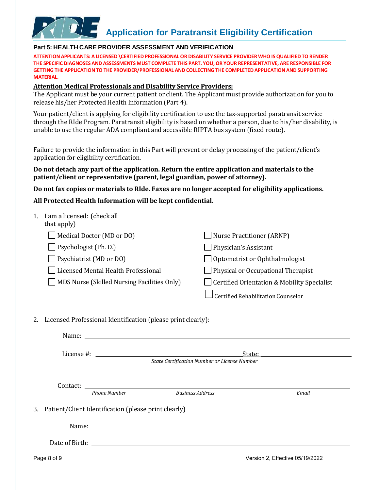#### <span id="page-8-0"></span>**Part 5: HEALTH CARE PROVIDER ASSESSMENT AND VERIFICATION**

**ATTENTION APPLICANTS: A LICENSED \CERTIFIED PROFESSIONAL OR DISABILITY SERVICE PROVIDER WHO ISQUALIFIEDTO RENDER THE SPECIFIC DIAGNOSES AND ASSESSMENTS MUST COMPLETE THIS PART. YOU, OR YOUR REPRESENTATIVE, ARE RESPONSIBLE FOR GETTING THE APPLICATIONTO THE PROVIDER/PROFESSIONAL AND COLLECTING THE COMPLETEDAPPLICATION AND SUPPORTING MATERIAL.**

#### **Attention Medical Professionals and Disability Service Providers:**

The Applicant must be your current patient or client. The Applicant must provide authorization for you to release his/her Protected Health Information (Part 4).

Your patient/client is applying for eligibility certification to use the tax-supported paratransit service through the RIde Program. Paratransit eligibility is based on whether a person, due to his/her disability, is unable to use the regular ADA compliant and accessible RIPTA bus system (fixed route).

Failure to provide the information in this Part will prevent or delay processing of the patient/client's application for eligibility certification.

#### **Do not detach any part of the application. Return the entire application and materials to the patient/client or representative (parent, legal guardian, power of attorney).**

**Do not fax copies or materials to RIde. Faxes are no longer accepted for eligibility applications.** 

#### **All Protected Health Information will be kept confidential.**

| 1. | I am a licensed: (check all<br>that apply)                                                                                                                                                                                     |                                                    |
|----|--------------------------------------------------------------------------------------------------------------------------------------------------------------------------------------------------------------------------------|----------------------------------------------------|
|    | Medical Doctor (MD or DO)                                                                                                                                                                                                      | <b>Nurse Practitioner (ARNP)</b>                   |
|    | Psychologist (Ph. D.)                                                                                                                                                                                                          | $\Box$ Physician's Assistant                       |
|    | Psychiatrist (MD or DO)                                                                                                                                                                                                        | Optometrist or Ophthalmologist                     |
|    | Licensed Mental Health Professional                                                                                                                                                                                            | $\Box$ Physical or Occupational Therapist          |
|    | MDS Nurse (Skilled Nursing Facilities Only)                                                                                                                                                                                    | $\Box$ Certified Orientation & Mobility Specialist |
|    |                                                                                                                                                                                                                                | Certified Rehabilitation Counselor                 |
| 2. | Licensed Professional Identification (please print clearly):                                                                                                                                                                   |                                                    |
|    | Name: No. 2008. The contract of the contract of the contract of the contract of the contract of the contract of the contract of the contract of the contract of the contract of the contract of the contract of the contract o |                                                    |
|    | License #:                                                                                                                                                                                                                     | State:                                             |
|    |                                                                                                                                                                                                                                | State Certification Number or License Number       |
|    |                                                                                                                                                                                                                                |                                                    |
|    | Contact:                                                                                                                                                                                                                       |                                                    |

*Phone Number Business Address Email*

3. Patient/Client Identification (please print clearly)

Name: when the contract of the contract of the contract of the contract of the contract of the contract of the contract of the contract of the contract of the contract of the contract of the contract of the contract of the

Date of Birth: